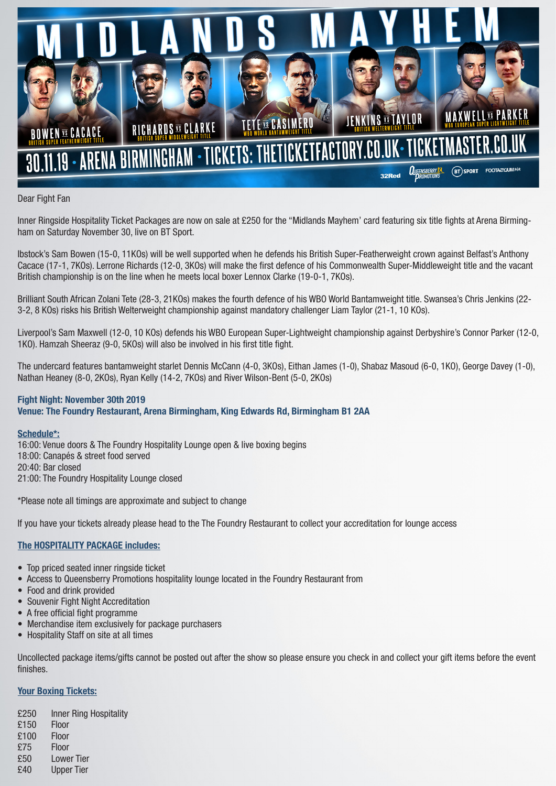

# Dear Fight Fan

Inner Ringside Hospitality Ticket Packages are now on sale at £250 for the "Midlands Mayhem' card featuring six title fights at Arena Birmingham on Saturday November 30, live on BT Sport.

Ibstock's Sam Bowen (15-0, 11KOs) will be well supported when he defends his British Super-Featherweight crown against Belfast's Anthony Cacace (17-1, 7KOs). Lerrone Richards (12-0, 3KOs) will make the first defence of his Commonwealth Super-Middleweight title and the vacant British championship is on the line when he meets local boxer Lennox Clarke (19-0-1, 7KOs).

Brilliant South African Zolani Tete (28-3, 21KOs) makes the fourth defence of his WBO World Bantamweight title. Swansea's Chris Jenkins (22- 3-2, 8 KOs) risks his British Welterweight championship against mandatory challenger Liam Taylor (21-1, 10 KOs).

Liverpool's Sam Maxwell (12-0, 10 KOs) defends his WBO European Super-Lightweight championship against Derbyshire's Connor Parker (12-0, 1KO). Hamzah Sheeraz (9-0, 5KOs) will also be involved in his first title fight.

The undercard features bantamweight starlet Dennis McCann (4-0, 3KOs), Eithan James (1-0), Shabaz Masoud (6-0, 1KO), George Davey (1-0), Nathan Heaney (8-0, 2KOs), Ryan Kelly (14-2, 7KOs) and River Wilson-Bent (5-0, 2KOs)

## Fight Night: November 30th 2019 Venue: The Foundry Restaurant, Arena Birmingham, King Edwards Rd, Birmingham B1 2AA

### Schedule\*:

16:00: Venue doors & The Foundry Hospitality Lounge open & live boxing begins 18:00: Canapés & street food served 20:40: Bar closed 21:00: The Foundry Hospitality Lounge closed

\*Please note all timings are approximate and subject to change

If you have your tickets already please head to the The Foundry Restaurant to collect your accreditation for lounge access

# The HOSPITALITY PACKAGE includes:

- Top priced seated inner ringside ticket
- Access to Queensberry Promotions hospitality lounge located in the Foundry Restaurant from
- Food and drink provided
- Souvenir Fight Night Accreditation
- A free official fight programme
- Merchandise item exclusively for package purchasers
- Hospitality Staff on site at all times

Uncollected package items/gifts cannot be posted out after the show so please ensure you check in and collect your gift items before the event finishes.

# Your Boxing Tickets:

- £250 Inner Ring Hospitality
- £150 Floor
- £100 Floor
- £75 Floor
- £50 Lower Tier
- £40 Upper Tier